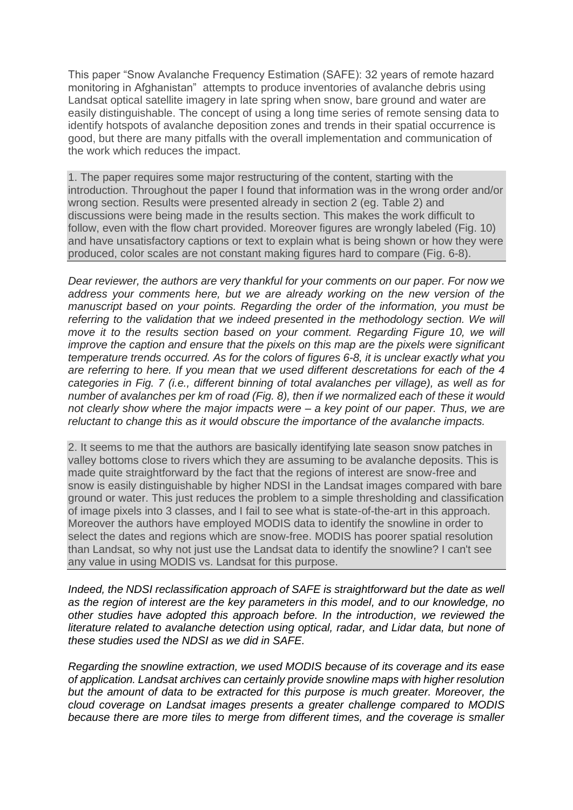This paper "Snow Avalanche Frequency Estimation (SAFE): 32 years of remote hazard monitoring in Afghanistan" attempts to produce inventories of avalanche debris using Landsat optical satellite imagery in late spring when snow, bare ground and water are easily distinguishable. The concept of using a long time series of remote sensing data to identify hotspots of avalanche deposition zones and trends in their spatial occurrence is good, but there are many pitfalls with the overall implementation and communication of the work which reduces the impact.

1. The paper requires some major restructuring of the content, starting with the introduction. Throughout the paper I found that information was in the wrong order and/or wrong section. Results were presented already in section 2 (eg. Table 2) and discussions were being made in the results section. This makes the work difficult to follow, even with the flow chart provided. Moreover figures are wrongly labeled (Fig. 10) and have unsatisfactory captions or text to explain what is being shown or how they were produced, color scales are not constant making figures hard to compare (Fig. 6-8).

*Dear reviewer, the authors are very thankful for your comments on our paper. For now we address your comments here, but we are already working on the new version of the manuscript based on your points. Regarding the order of the information, you must be referring to the validation that we indeed presented in the methodology section. We will move it to the results section based on your comment. Regarding Figure 10, we will improve the caption and ensure that the pixels on this map are the pixels were significant temperature trends occurred. As for the colors of figures 6-8, it is unclear exactly what you are referring to here. If you mean that we used different descretations for each of the 4 categories in Fig. 7 (i.e., different binning of total avalanches per village), as well as for number of avalanches per km of road (Fig. 8), then if we normalized each of these it would not clearly show where the major impacts were – a key point of our paper. Thus, we are reluctant to change this as it would obscure the importance of the avalanche impacts.*

2. It seems to me that the authors are basically identifying late season snow patches in valley bottoms close to rivers which they are assuming to be avalanche deposits. This is made quite straightforward by the fact that the regions of interest are snow-free and snow is easily distinguishable by higher NDSI in the Landsat images compared with bare ground or water. This just reduces the problem to a simple thresholding and classification of image pixels into 3 classes, and I fail to see what is state-of-the-art in this approach. Moreover the authors have employed MODIS data to identify the snowline in order to select the dates and regions which are snow-free. MODIS has poorer spatial resolution than Landsat, so why not just use the Landsat data to identify the snowline? I can't see any value in using MODIS vs. Landsat for this purpose.

*Indeed, the NDSI reclassification approach of SAFE is straightforward but the date as well as the region of interest are the key parameters in this model, and to our knowledge, no other studies have adopted this approach before. In the introduction, we reviewed the literature related to avalanche detection using optical, radar, and Lidar data, but none of these studies used the NDSI as we did in SAFE.* 

*Regarding the snowline extraction, we used MODIS because of its coverage and its ease of application. Landsat archives can certainly provide snowline maps with higher resolution*  but the amount of data to be extracted for this purpose is much greater. Moreover, the *cloud coverage on Landsat images presents a greater challenge compared to MODIS because there are more tiles to merge from different times, and the coverage is smaller*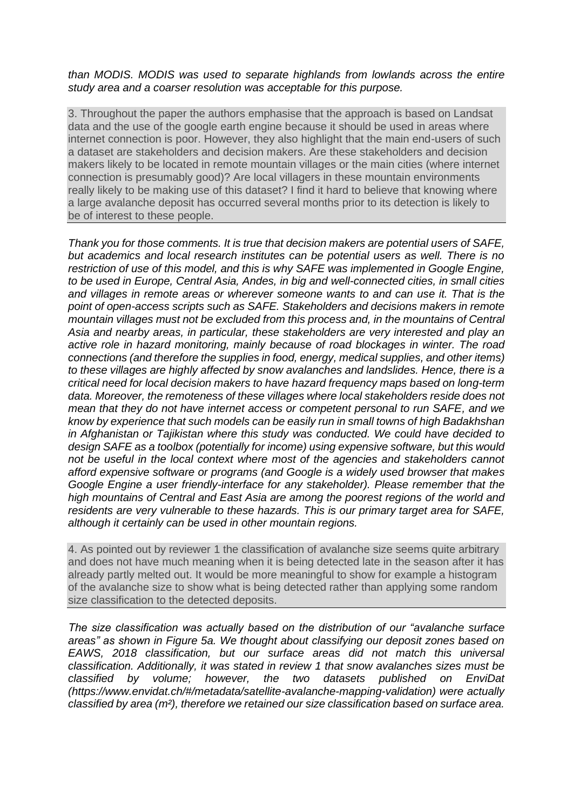## *than MODIS. MODIS was used to separate highlands from lowlands across the entire study area and a coarser resolution was acceptable for this purpose.*

3. Throughout the paper the authors emphasise that the approach is based on Landsat data and the use of the google earth engine because it should be used in areas where internet connection is poor. However, they also highlight that the main end-users of such a dataset are stakeholders and decision makers. Are these stakeholders and decision makers likely to be located in remote mountain villages or the main cities (where internet connection is presumably good)? Are local villagers in these mountain environments really likely to be making use of this dataset? I find it hard to believe that knowing where a large avalanche deposit has occurred several months prior to its detection is likely to be of interest to these people.

*Thank you for those comments. It is true that decision makers are potential users of SAFE, but academics and local research institutes can be potential users as well. There is no restriction of use of this model, and this is why SAFE was implemented in Google Engine, to be used in Europe, Central Asia, Andes, in big and well-connected cities, in small cities and villages in remote areas or wherever someone wants to and can use it. That is the point of open-access scripts such as SAFE. Stakeholders and decisions makers in remote mountain villages must not be excluded from this process and, in the mountains of Central Asia and nearby areas, in particular, these stakeholders are very interested and play an active role in hazard monitoring, mainly because of road blockages in winter. The road connections (and therefore the supplies in food, energy, medical supplies, and other items) to these villages are highly affected by snow avalanches and landslides. Hence, there is a critical need for local decision makers to have hazard frequency maps based on long-term data. Moreover, the remoteness of these villages where local stakeholders reside does not mean that they do not have internet access or competent personal to run SAFE, and we know by experience that such models can be easily run in small towns of high Badakhshan in Afghanistan or Tajikistan where this study was conducted. We could have decided to design SAFE as a toolbox (potentially for income) using expensive software, but this would not be useful in the local context where most of the agencies and stakeholders cannot afford expensive software or programs (and Google is a widely used browser that makes Google Engine a user friendly-interface for any stakeholder). Please remember that the high mountains of Central and East Asia are among the poorest regions of the world and residents are very vulnerable to these hazards. This is our primary target area for SAFE, although it certainly can be used in other mountain regions.* 

4. As pointed out by reviewer 1 the classification of avalanche size seems quite arbitrary and does not have much meaning when it is being detected late in the season after it has already partly melted out. It would be more meaningful to show for example a histogram of the avalanche size to show what is being detected rather than applying some random size classification to the detected deposits.

*The size classification was actually based on the distribution of our "avalanche surface areas" as shown in Figure 5a. We thought about classifying our deposit zones based on EAWS, 2018 classification, but our surface areas did not match this universal classification. Additionally, it was stated in review 1 that snow avalanches sizes must be classified by volume; however, the two datasets published on EnviDat (https://www.envidat.ch/#/metadata/satellite-avalanche-mapping-validation) were actually classified by area (m²), therefore we retained our size classification based on surface area.*